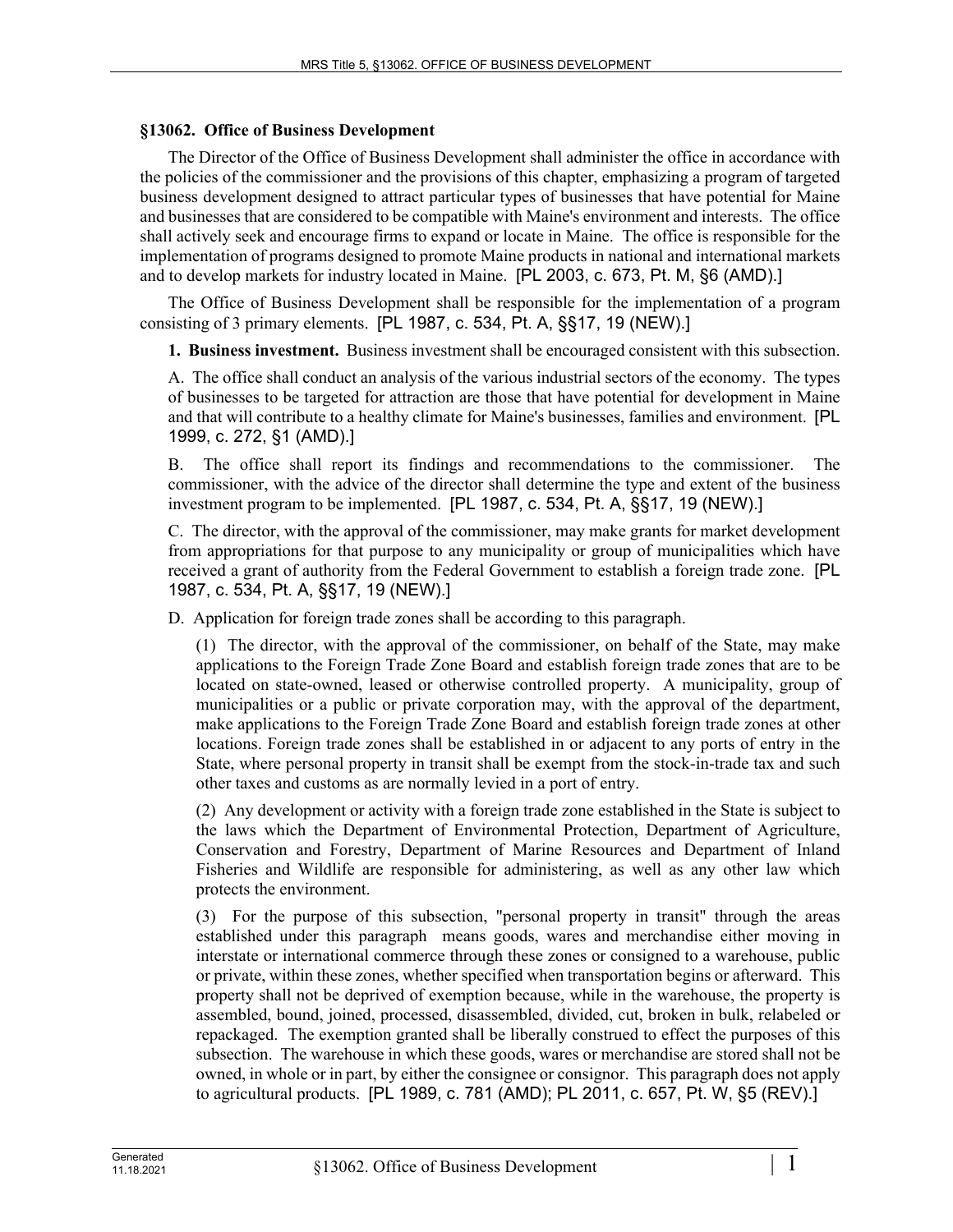## **§13062. Office of Business Development**

The Director of the Office of Business Development shall administer the office in accordance with the policies of the commissioner and the provisions of this chapter, emphasizing a program of targeted business development designed to attract particular types of businesses that have potential for Maine and businesses that are considered to be compatible with Maine's environment and interests. The office shall actively seek and encourage firms to expand or locate in Maine. The office is responsible for the implementation of programs designed to promote Maine products in national and international markets and to develop markets for industry located in Maine. [PL 2003, c. 673, Pt. M, §6 (AMD).]

The Office of Business Development shall be responsible for the implementation of a program consisting of 3 primary elements. [PL 1987, c. 534, Pt. A, §§17, 19 (NEW).]

**1. Business investment.** Business investment shall be encouraged consistent with this subsection.

A. The office shall conduct an analysis of the various industrial sectors of the economy. The types of businesses to be targeted for attraction are those that have potential for development in Maine and that will contribute to a healthy climate for Maine's businesses, families and environment. [PL 1999, c. 272, §1 (AMD).]

B. The office shall report its findings and recommendations to the commissioner. The commissioner, with the advice of the director shall determine the type and extent of the business investment program to be implemented. [PL 1987, c. 534, Pt. A, §§17, 19 (NEW).]

C. The director, with the approval of the commissioner, may make grants for market development from appropriations for that purpose to any municipality or group of municipalities which have received a grant of authority from the Federal Government to establish a foreign trade zone. [PL 1987, c. 534, Pt. A, §§17, 19 (NEW).]

D. Application for foreign trade zones shall be according to this paragraph.

(1) The director, with the approval of the commissioner, on behalf of the State, may make applications to the Foreign Trade Zone Board and establish foreign trade zones that are to be located on state-owned, leased or otherwise controlled property. A municipality, group of municipalities or a public or private corporation may, with the approval of the department, make applications to the Foreign Trade Zone Board and establish foreign trade zones at other locations. Foreign trade zones shall be established in or adjacent to any ports of entry in the State, where personal property in transit shall be exempt from the stock-in-trade tax and such other taxes and customs as are normally levied in a port of entry.

(2) Any development or activity with a foreign trade zone established in the State is subject to the laws which the Department of Environmental Protection, Department of Agriculture, Conservation and Forestry, Department of Marine Resources and Department of Inland Fisheries and Wildlife are responsible for administering, as well as any other law which protects the environment.

(3) For the purpose of this subsection, "personal property in transit" through the areas established under this paragraph means goods, wares and merchandise either moving in interstate or international commerce through these zones or consigned to a warehouse, public or private, within these zones, whether specified when transportation begins or afterward. This property shall not be deprived of exemption because, while in the warehouse, the property is assembled, bound, joined, processed, disassembled, divided, cut, broken in bulk, relabeled or repackaged. The exemption granted shall be liberally construed to effect the purposes of this subsection. The warehouse in which these goods, wares or merchandise are stored shall not be owned, in whole or in part, by either the consignee or consignor. This paragraph does not apply to agricultural products. [PL 1989, c. 781 (AMD); PL 2011, c. 657, Pt. W, §5 (REV).]